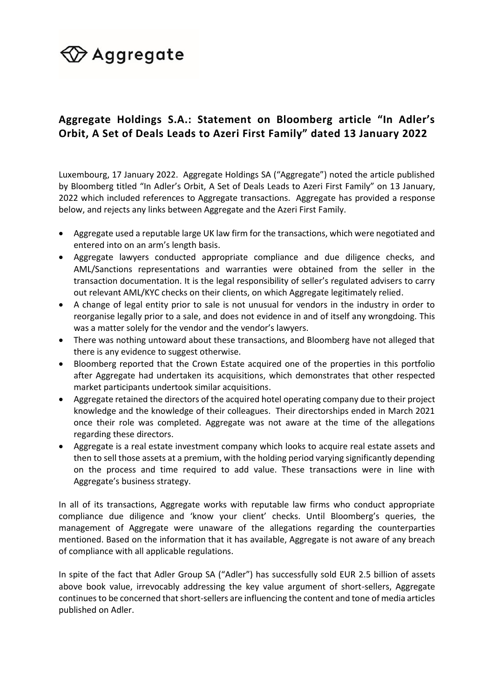# $\bigcirc \hspace{-4.5mm} \mathsf{Aggregate}$

### **Aggregate Holdings S.A.: Statement on Bloomberg article "In Adler's Orbit, A Set of Deals Leads to Azeri First Family" dated 13 January 2022**

Luxembourg, 17 January 2022. Aggregate Holdings SA ("Aggregate") noted the article published by Bloomberg titled "In Adler's Orbit, A Set of Deals Leads to Azeri First Family" on 13 January, 2022 which included references to Aggregate transactions. Aggregate has provided a response below, and rejects any links between Aggregate and the Azeri First Family.

- Aggregate used a reputable large UK law firm for the transactions, which were negotiated and entered into on an arm's length basis.
- Aggregate lawyers conducted appropriate compliance and due diligence checks, and AML/Sanctions representations and warranties were obtained from the seller in the transaction documentation. It is the legal responsibility of seller's regulated advisers to carry out relevant AML/KYC checks on their clients, on which Aggregate legitimately relied.
- A change of legal entity prior to sale is not unusual for vendors in the industry in order to reorganise legally prior to a sale, and does not evidence in and of itself any wrongdoing. This was a matter solely for the vendor and the vendor's lawyers.
- There was nothing untoward about these transactions, and Bloomberg have not alleged that there is any evidence to suggest otherwise.
- Bloomberg reported that the Crown Estate acquired one of the properties in this portfolio after Aggregate had undertaken its acquisitions, which demonstrates that other respected market participants undertook similar acquisitions.
- Aggregate retained the directors of the acquired hotel operating company due to their project knowledge and the knowledge of their colleagues. Their directorships ended in March 2021 once their role was completed. Aggregate was not aware at the time of the allegations regarding these directors.
- Aggregate is a real estate investment company which looks to acquire real estate assets and then to sell those assets at a premium, with the holding period varying significantly depending on the process and time required to add value. These transactions were in line with Aggregate's business strategy.

In all of its transactions, Aggregate works with reputable law firms who conduct appropriate compliance due diligence and 'know your client' checks. Until Bloomberg's queries, the management of Aggregate were unaware of the allegations regarding the counterparties mentioned. Based on the information that it has available, Aggregate is not aware of any breach of compliance with all applicable regulations.

In spite of the fact that Adler Group SA ("Adler") has successfully sold EUR 2.5 billion of assets above book value, irrevocably addressing the key value argument of short-sellers, Aggregate continues to be concerned that short-sellers are influencing the content and tone of media articles published on Adler.